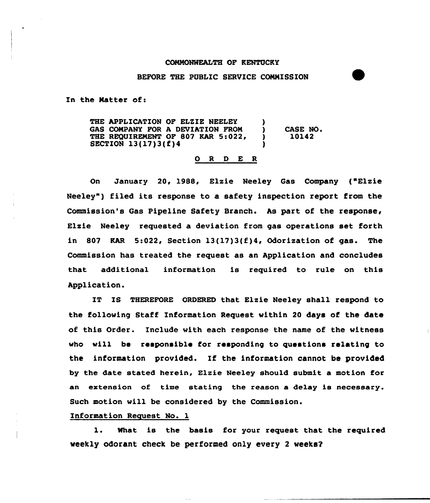## C6NNONNEALTH OF KENTUCKY

## BEFORE THE PUBLIC SERVICE COMMISSION

In the Natter of:

THE APPLICATION OF ELZIE NEELEY GAS COMPANY FOR A DEVIATION FROM THE REQUIREMENT OF 807 KAR 5:022, SECTION 13{17)3{f)4 ) CASE NO. 10142

## 0 <sup>R</sup> <sup>D</sup> E R

On January 20, 1988, Elzie Neeley Gas Company {"Elzie Neeley") filed its response to a safety inspection report from the Commission's Gas Pipeline Safety Branch. As part of the response, Elzie Neeley requested a deviation from gas operations set forth in 807 KAR 5:022, Section  $13(17)3(f)4$ , Odorization of gas. The Commission has treated the request as an Application and concludes that additional information is required to rule on this Application.

IT IS THEREFORE ORDERED that Elzie Neeley shall respond to the following Staff Information Request within 20 days of the date of this Order. Include with each response the name of the witness who vill be responsible for responding to questions relating to the information provided. If the information cannot be provided by the date stated herein, Elzie Neeley should submit a motion for an extension of time stating the reason a delay is necessary. Such motion will be considered by the Commission.

Information Request No. 1

1. What is the basis for your request that the required weekly odorant check be performed only every 2 weeks?

وبالان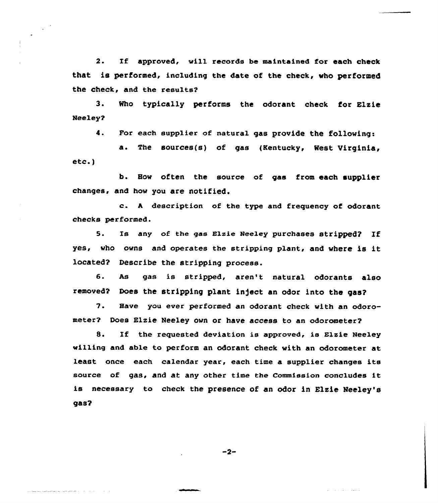2. If approved, will records be maintained for each check that is performed, including the date of the check, who performed the check, and the results?

 $3 -$ Neeley? Rho typically performs the odorant check for Elsie

4. For each supplier of natural gas provide the following:

a. The sources(s) of gas (Kentucky, Rest Virginia, etc.)

b. How often the source of gas from each supplier changes, and how you are notified.

c. <sup>A</sup> description of the type and frequency of odorant checks performed.

5. Is any of the gas Elzie Neeley purchases stripped? If yes, who owns and operates the stripping plant, and where is it located? Describe the stripping process.

6. As gas is stripped, aren't natural odorants also removed? Does the stripping plant inject an odor into the gas?

'7. Have you ever performed an odorant check with an odorometer? Does Elzie Neeley own or have access to an odorometer?

8. If the requested deviation is approved, is Elzie Neeley willing and able to perform an odorant check with an odorometer at least once each calendar year, each time a supplier changes its source of gas, and at any other time the Commission concludes it is necessary to check the presence of an odor in Elsie Neeley'sqas?

 $-2-$